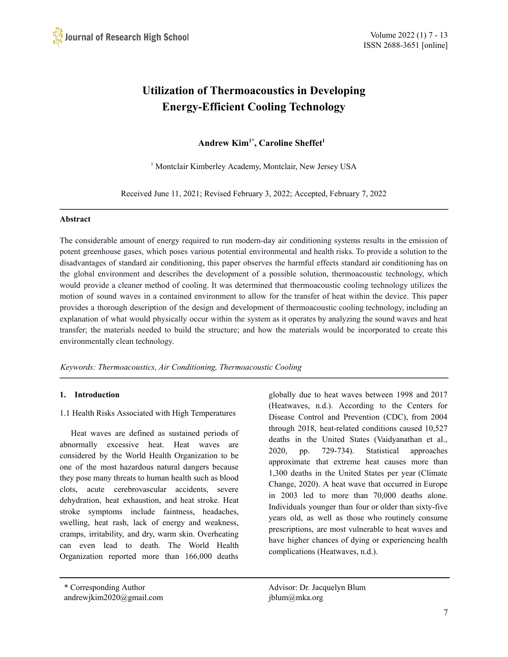# **Utilization of Thermoacoustics in Developing Energy-Efficient Cooling Technology**

**Andrew Kim1\* , Caroline Sheffet 1**

<sup>1</sup> Montclair Kimberley Academy, Montclair, New Jersey USA

Received June 11, 2021; Revised February 3, 2022; Accepted, February 7, 2022

## **Abstract**

The considerable amount of energy required to run modern-day air conditioning systems results in the emission of potent greenhouse gases, which poses various potential environmental and health risks. To provide a solution to the disadvantages of standard air conditioning, this paper observes the harmful effects standard air conditioning has on the global environment and describes the development of a possible solution, thermoacoustic technology, which would provide a cleaner method of cooling. It was determined that thermoacoustic cooling technology utilizes the motion of sound waves in a contained environment to allow for the transfer of heat within the device. This paper provides a thorough description of the design and development of thermoacoustic cooling technology, including an explanation of what would physically occur within the system as it operates by analyzing the sound waves and heat transfer; the materials needed to build the structure; and how the materials would be incorporated to create this environmentally clean technology.

*Keywords: Thermoacoustics, Air Conditioning, Thermoacoustic Cooling*

## **1. Introduction**

1.1 Health Risks Associated with High Temperatures

Heat waves are defined as sustained periods of abnormally excessive heat. Heat waves are considered by the World Health Organization to be one of the most hazardous natural dangers because they pose many threats to human health such as blood clots, acute cerebrovascular accidents, severe dehydration, heat exhaustion, and heat stroke. Heat stroke symptoms include faintness, headaches, swelling, heat rash, lack of energy and weakness, cramps, irritability, and dry, warm skin. Overheating can even lead to death. The World Health Organization reported more than 166,000 deaths

globally due to heat waves between 1998 and 2017 (Heatwaves, n.d.). According to the Centers for Disease Control and Prevention (CDC), from 2004 through 2018, heat-related conditions caused 10,527 deaths in the United States (Vaidyanathan et al., 2020, pp. 729-734). Statistical approaches approximate that extreme heat causes more than 1,300 deaths in the United States per year (Climate Change, 2020). A heat wave that occurred in Europe in 2003 led to more than 70,000 deaths alone. Individuals younger than four or older than sixty-five years old, as well as those who routinely consume prescriptions, are most vulnerable to heat waves and have higher chances of dying or experiencing health complications (Heatwaves, n.d.).

<sup>\*</sup> Corresponding Author Advisor: Dr. Jacquelyn Blum andrewjkim2020@gmail.com jblum@mka.org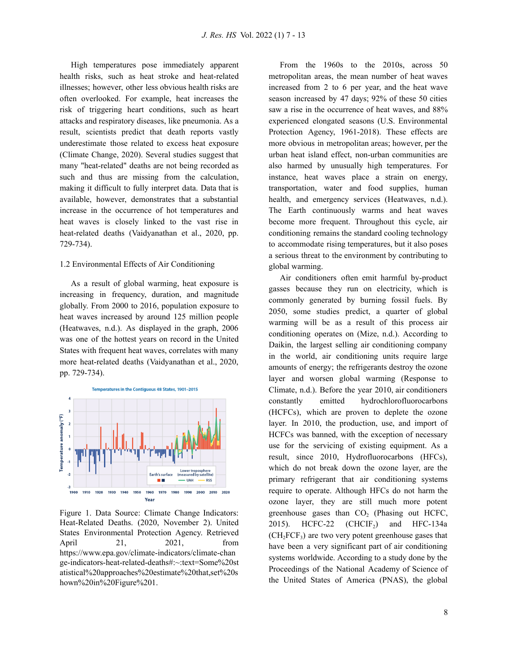High temperatures pose immediately apparent health risks, such as heat stroke and heat-related illnesses; however, other less obvious health risks are often overlooked. For example, heat increases the risk of triggering heart conditions, such as heart attacks and respiratory diseases, like pneumonia. As a result, scientists predict that death reports vastly underestimate those related to excess heat exposure (Climate Change, 2020). Several studies suggest that many "heat-related" deaths are not being recorded as such and thus are missing from the calculation, making it difficult to fully interpret data. Data that is available, however, demonstrates that a substantial increase in the occurrence of hot temperatures and heat waves is closely linked to the vast rise in heat-related deaths (Vaidyanathan et al., 2020, pp. 729-734).

#### 1.2 Environmental Effects of Air Conditioning

As a result of global warming, heat exposure is increasing in frequency, duration, and magnitude globally. From 2000 to 2016, population exposure to heat waves increased by around 125 million people (Heatwaves, n.d.). As displayed in the graph, 2006 was one of the hottest years on record in the United States with frequent heat waves, correlates with many more heat-related deaths (Vaidyanathan et al., 2020, pp. 729-734).



Figure 1. Data Source: Climate Change Indicators: Heat-Related Deaths. (2020, November 2). United States Environmental Protection Agency. Retrieved April 21, 2021, from https://www.epa.gov/climate-indicators/climate-chan ge-indicators-heat-related-deaths#:~:text=Some%20st atistical%20approaches%20estimate%20that,set%20s hown%20in%20Figure%201.

From the 1960s to the 2010s, across 50 metropolitan areas, the mean number of heat waves increased from 2 to 6 per year, and the heat wave season increased by 47 days; 92% of these 50 cities saw a rise in the occurrence of heat waves, and 88% experienced elongated seasons (U.S. Environmental Protection Agency, 1961-2018). These effects are more obvious in metropolitan areas; however, per the urban heat island effect, non-urban communities are also harmed by unusually high temperatures. For instance, heat waves place a strain on energy, transportation, water and food supplies, human health, and emergency services (Heatwaves, n.d.). The Earth continuously warms and heat waves become more frequent. Throughout this cycle, air conditioning remains the standard cooling technology to accommodate rising temperatures, but it also poses a serious threat to the environment by contributing to global warming.

Air conditioners often emit harmful by-product gasses because they run on electricity, which is commonly generated by burning fossil fuels. By 2050, some studies predict, a quarter of global warming will be as a result of this process air conditioning operates on (Mize, n.d.). According to Daikin, the largest selling air conditioning company in the world, air conditioning units require large amounts of energy; the refrigerants destroy the ozone layer and worsen global warming (Response to Climate, n.d.). Before the year 2010, air conditioners constantly emitted hydrochlorofluorocarbons (HCFCs), which are proven to deplete the ozone layer. In 2010, the production, use, and import of HCFCs was banned, with the exception of necessary use for the servicing of existing equipment. As a result, since 2010, Hydrofluorocarbons (HFCs), which do not break down the ozone layer, are the primary refrigerant that air conditioning systems require to operate. Although HFCs do not harm the ozone layer, they are still much more potent greenhouse gases than  $CO<sub>2</sub>$  (Phasing out HCFC, 2015). HCFC-22  $(CHCIF_2)$  and HFC-134a  $(CH<sub>2</sub>FCF<sub>3</sub>)$  are two very potent greenhouse gases that have been a very significant part of air conditioning systems worldwide. According to a study done by the Proceedings of the National Academy of Science of the United States of America (PNAS), the global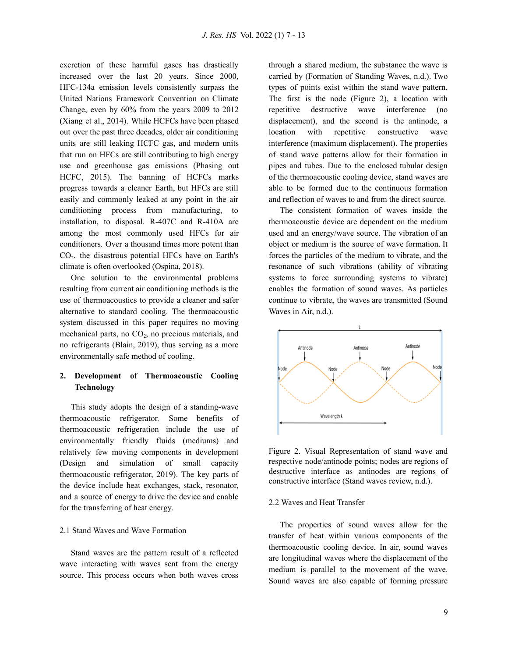excretion of these harmful gases has drastically increased over the last 20 years. Since 2000, HFC-134a emission levels consistently surpass the United Nations Framework Convention on Climate Change, even by 60% from the years 2009 to 2012 (Xiang et al., 2014). While HCFCs have been phased out over the past three decades, older air conditioning units are still leaking HCFC gas, and modern units that run on HFCs are still contributing to high energy use and greenhouse gas emissions (Phasing out HCFC, 2015). The banning of HCFCs marks progress towards a cleaner Earth, but HFCs are still easily and commonly leaked at any point in the air conditioning process from manufacturing, to installation, to disposal. R-407C and R-410A are among the most commonly used HFCs for air conditioners. Over a thousand times more potent than CO<sup>2</sup> , the disastrous potential HFCs have on Earth's climate is often overlooked (Ospina, 2018).

One solution to the environmental problems resulting from current air conditioning methods is the use of thermoacoustics to provide a cleaner and safer alternative to standard cooling. The thermoacoustic system discussed in this paper requires no moving mechanical parts, no  $CO<sub>2</sub>$ , no precious materials, and no refrigerants (Blain, 2019), thus serving as a more environmentally safe method of cooling.

## **2. Development of Thermoacoustic Cooling Technology**

This study adopts the design of a standing-wave thermoacoustic refrigerator. Some benefits of thermoacoustic refrigeration include the use of environmentally friendly fluids (mediums) and relatively few moving components in development (Design and simulation of small capacity thermoacoustic refrigerator, 2019). The key parts of the device include heat exchanges, stack, resonator, and a source of energy to drive the device and enable for the transferring of heat energy.

## 2.1 Stand Waves and Wave Formation

Stand waves are the pattern result of a reflected wave interacting with waves sent from the energy source. This process occurs when both waves cross through a shared medium, the substance the wave is carried by (Formation of Standing Waves, n.d.). Two types of points exist within the stand wave pattern. The first is the node (Figure 2), a location with repetitive destructive wave interference (no displacement), and the second is the antinode, a location with repetitive constructive wave interference (maximum displacement). The properties of stand wave patterns allow for their formation in pipes and tubes. Due to the enclosed tubular design of the thermoacoustic cooling device, stand waves are able to be formed due to the continuous formation and reflection of waves to and from the direct source.

The consistent formation of waves inside the thermoacoustic device are dependent on the medium used and an energy/wave source. The vibration of an object or medium is the source of wave formation. It forces the particles of the medium to vibrate, and the resonance of such vibrations (ability of vibrating systems to force surrounding systems to vibrate) enables the formation of sound waves. As particles continue to vibrate, the waves are transmitted (Sound Waves in Air, n.d.).



Figure 2. Visual Representation of stand wave and respective node/antinode points; nodes are regions of destructive interface as antinodes are regions of constructive interface (Stand waves review, n.d.).

## 2.2 Waves and Heat Transfer

The properties of sound waves allow for the transfer of heat within various components of the thermoacoustic cooling device. In air, sound waves are longitudinal waves where the displacement of the medium is parallel to the movement of the wave. Sound waves are also capable of forming pressure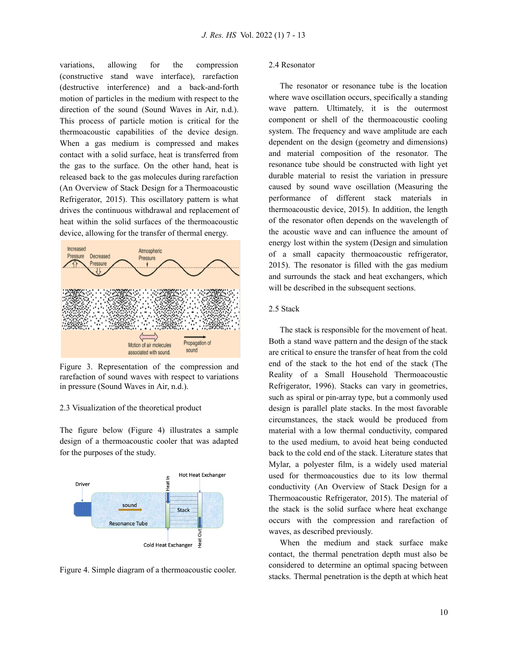variations, allowing for the compression (constructive stand wave interface), rarefaction (destructive interference) and a back-and-forth motion of particles in the medium with respect to the direction of the sound (Sound Waves in Air, n.d.). This process of particle motion is critical for the thermoacoustic capabilities of the device design. When a gas medium is compressed and makes contact with a solid surface, heat is transferred from the gas to the surface. On the other hand, heat is released back to the gas molecules during rarefaction (An Overview of Stack Design for a Thermoacoustic Refrigerator, 2015). This oscillatory pattern is what drives the continuous withdrawal and replacement of heat within the solid surfaces of the thermoacoustic device, allowing for the transfer of thermal energy.



Figure 3. Representation of the compression and rarefaction of sound waves with respect to variations in pressure (Sound Waves in Air, n.d.).

## 2.3 Visualization of the theoretical product

The figure below (Figure 4) illustrates a sample design of a thermoacoustic cooler that was adapted for the purposes of the study.





#### 2.4 Resonator

The resonator or resonance tube is the location where wave oscillation occurs, specifically a standing wave pattern. Ultimately, it is the outermost component or shell of the thermoacoustic cooling system. The frequency and wave amplitude are each dependent on the design (geometry and dimensions) and material composition of the resonator. The resonance tube should be constructed with light yet durable material to resist the variation in pressure caused by sound wave oscillation (Measuring the performance of different stack materials in thermoacoustic device, 2015). In addition, the length of the resonator often depends on the wavelength of the acoustic wave and can influence the amount of energy lost within the system (Design and simulation of a small capacity thermoacoustic refrigerator, 2015). The resonator is filled with the gas medium and surrounds the stack and heat exchangers, which will be described in the subsequent sections.

#### 2.5 Stack

The stack is responsible for the movement of heat. Both a stand wave pattern and the design of the stack are critical to ensure the transfer of heat from the cold end of the stack to the hot end of the stack (The Reality of a Small Household Thermoacoustic Refrigerator, 1996). Stacks can vary in geometries, such as spiral or pin-array type, but a commonly used design is parallel plate stacks. In the most favorable circumstances, the stack would be produced from material with a low thermal conductivity, compared to the used medium, to avoid heat being conducted back to the cold end of the stack. Literature states that Mylar, a polyester film, is a widely used material used for thermoacoustics due to its low thermal conductivity (An Overview of Stack Design for a Thermoacoustic Refrigerator, 2015). The material of the stack is the solid surface where heat exchange occurs with the compression and rarefaction of waves, as described previously.

When the medium and stack surface make contact, the thermal penetration depth must also be considered to determine an optimal spacing between stacks. Thermal penetration is the depth at which heat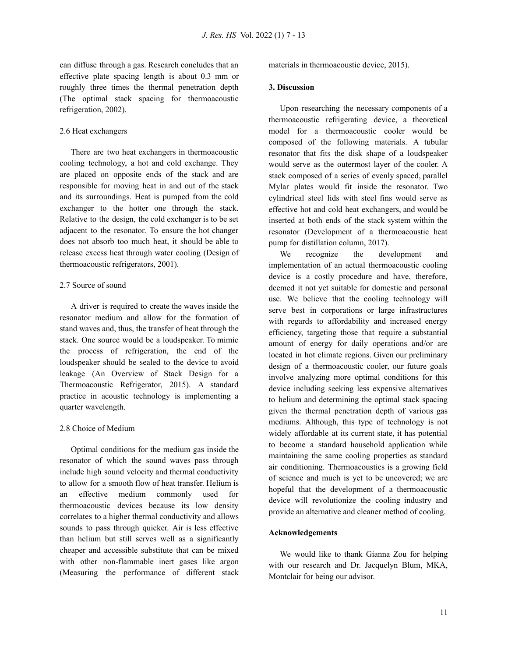can diffuse through a gas. Research concludes that an effective plate spacing length is about 0.3 mm or roughly three times the thermal penetration depth (The optimal stack spacing for thermoacoustic refrigeration, 2002).

#### 2.6 Heat exchangers

There are two heat exchangers in thermoacoustic cooling technology, a hot and cold exchange. They are placed on opposite ends of the stack and are responsible for moving heat in and out of the stack and its surroundings. Heat is pumped from the cold exchanger to the hotter one through the stack. Relative to the design, the cold exchanger is to be set adjacent to the resonator. To ensure the hot changer does not absorb too much heat, it should be able to release excess heat through water cooling (Design of thermoacoustic refrigerators, 2001).

## 2.7 Source of sound

A driver is required to create the waves inside the resonator medium and allow for the formation of stand waves and, thus, the transfer of heat through the stack. One source would be a loudspeaker. To mimic the process of refrigeration, the end of the loudspeaker should be sealed to the device to avoid leakage (An Overview of Stack Design for a Thermoacoustic Refrigerator, 2015). A standard practice in acoustic technology is implementing a quarter wavelength.

## 2.8 Choice of Medium

Optimal conditions for the medium gas inside the resonator of which the sound waves pass through include high sound velocity and thermal conductivity to allow for a smooth flow of heat transfer. Helium is an effective medium commonly used for thermoacoustic devices because its low density correlates to a higher thermal conductivity and allows sounds to pass through quicker. Air is less effective than helium but still serves well as a significantly cheaper and accessible substitute that can be mixed with other non-flammable inert gases like argon (Measuring the performance of different stack materials in thermoacoustic device, 2015).

#### **3. Discussion**

Upon researching the necessary components of a thermoacoustic refrigerating device, a theoretical model for a thermoacoustic cooler would be composed of the following materials. A tubular resonator that fits the disk shape of a loudspeaker would serve as the outermost layer of the cooler. A stack composed of a series of evenly spaced, parallel Mylar plates would fit inside the resonator. Two cylindrical steel lids with steel fins would serve as effective hot and cold heat exchangers, and would be inserted at both ends of the stack system within the resonator (Development of a thermoacoustic heat pump for distillation column, 2017).

We recognize the development and implementation of an actual thermoacoustic cooling device is a costly procedure and have, therefore, deemed it not yet suitable for domestic and personal use. We believe that the cooling technology will serve best in corporations or large infrastructures with regards to affordability and increased energy efficiency, targeting those that require a substantial amount of energy for daily operations and/or are located in hot climate regions. Given our preliminary design of a thermoacoustic cooler, our future goals involve analyzing more optimal conditions for this device including seeking less expensive alternatives to helium and determining the optimal stack spacing given the thermal penetration depth of various gas mediums. Although, this type of technology is not widely affordable at its current state, it has potential to become a standard household application while maintaining the same cooling properties as standard air conditioning. Thermoacoustics is a growing field of science and much is yet to be uncovered; we are hopeful that the development of a thermoacoustic device will revolutionize the cooling industry and provide an alternative and cleaner method of cooling.

## **Acknowledgements**

We would like to thank Gianna Zou for helping with our research and Dr. Jacquelyn Blum, MKA, Montclair for being our advisor.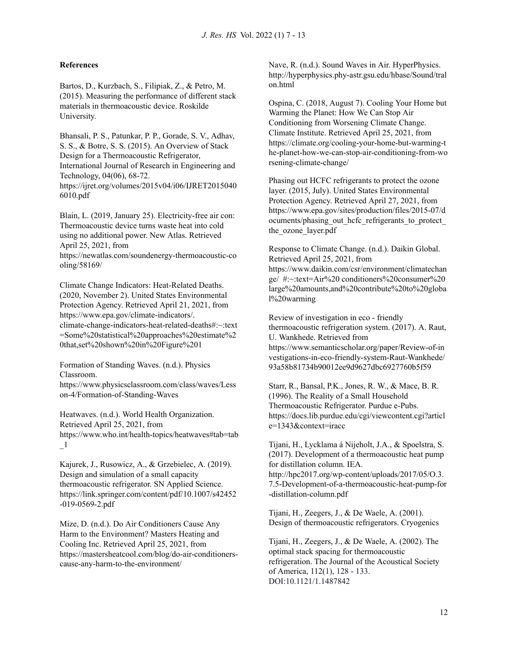#### **References**

Bartos, D., Kurzbach, S., Filipiak, Z., & Petro, M. (2015). Measuring the performance of different stack materials in thermoacoustic device. Roskilde University.

Bhansali, P. S., Patunkar, P. P., Gorade, S. V., Adhav, S. S., & Botre, S. S. (2015). An Overview of Stack Design for a Thermoacoustic Refrigerator, International Journal of Research in Engineering and Technology, 04(06), 68-72. https://ijret.org/volumes/2015v04/i06/IJRET2015040 6010.pdf

Blain, L. (2019, January 25). Electricity-free air con: Thermoacoustic device turns waste heat into cold using no additional power. New Atlas. Retrieved April 25, 2021, from

https://newatlas.com/soundenergy-thermoacoustic-co oling/58169/

Climate Change Indicators: Heat-Related Deaths. (2020, November 2). United States Environmental Protection Agency. Retrieved April 21, 2021, from https://www.epa.gov/climate-indicators/. climate-change-indicators-heat-related-deaths#:~:text =Some%20statistical%20approaches%20estimate%2 0that,set%20shown%20in%20Figure%201

Formation of Standing Waves. (n.d.). Physics Classroom.

https://www.physicsclassroom.com/class/waves/Less on-4/Formation-of-Standing-Waves

Heatwaves. (n.d.). World Health Organization. Retrieved April 25, 2021, from https://www.who.int/health-topics/heatwaves#tab=tab  $\mathbf{1}$ 

Kajurek, J., Rusowicz, A., & Grzebielec, A. (2019). Design and simulation of a small capacity thermoacoustic refrigerator. SN Applied Science. https://link.springer.com/content/pdf/10.1007/s42452 -019-0569-2.pdf

Mize, D. (n.d.). Do Air Conditioners Cause Any Harm to the Environment? Masters Heating and Cooling Inc. Retrieved April 25, 2021, from https://mastersheatcool.com/blog/do-air-conditionerscause-any-harm-to-the-environment/

Nave, R. (n.d.). Sound Waves in Air. HyperPhysics. http://hyperphysics.phy-astr.gsu.edu/hbase/Sound/tral on.html

Ospina, C. (2018, August 7). Cooling Your Home but Warming the Planet: How We Can Stop Air Conditioning from Worsening Climate Change. Climate Institute. Retrieved April 25, 2021, from https://climate.org/cooling-your-home-but-warming-t he-planet-how-we-can-stop-air-conditioning-from-wo rsening-climate-change/

Phasing out HCFC refrigerants to protect the ozone layer. (2015, July). United States Environmental Protection Agency. Retrieved April 27, 2021, from https://www.epa.gov/sites/production/files/2015-07/d ocuments/phasing\_out\_hcfc\_refrigerants\_to\_protect the ozone layer.pdf

Response to Climate Change. (n.d.). Daikin Global. Retrieved April 25, 2021, from https://www.daikin.com/csr/environment/climatechan ge/ #:~:text=Air%20 conditioners%20consumer%20 large%20amounts,and%20contribute%20to%20globa l%20warming

Review of investigation in eco - friendly thermoacoustic refrigeration system. (2017). A. Raut, U. Wankhede. Retrieved from https://www.semanticscholar.org/paper/Review-of-in vestigations-in-eco-friendly-system-Raut-Wankhede/ 93a58b81734b90012ee9d9627dbc6927760b5f59

Starr, R., Bansal, P.K., Jones, R. W., & Mace, B. R. (1996). The Reality of a Small Household Thermoacoustic Refrigerator. Purdue e-Pubs. https://docs.lib.purdue.edu/cgi/viewcontent.cgi?articl e=1343&context=iracc

Tijani, H., Lycklama á Nijeholt, J.A., & Spoelstra, S. (2017). Development of a thermoacoustic heat pump for distillation column. IEA. http://hpc2017.org/wp-content/uploads/2017/05/O.3. 7.5-Development-of-a-thermoacoustic-heat-pump-for -distillation-column.pdf

Tijani, H., Zeegers, J., & De Waele, A. (2001). Design of thermoacoustic refrigerators. Cryogenics

Tijani, H., Zeegers, J., & De Waele, A. (2002). The optimal stack spacing for thermoacoustic refrigeration. The Journal of the Acoustical Society of America, 112(1), 128 - 133. DOI:10.1121/1.1487842